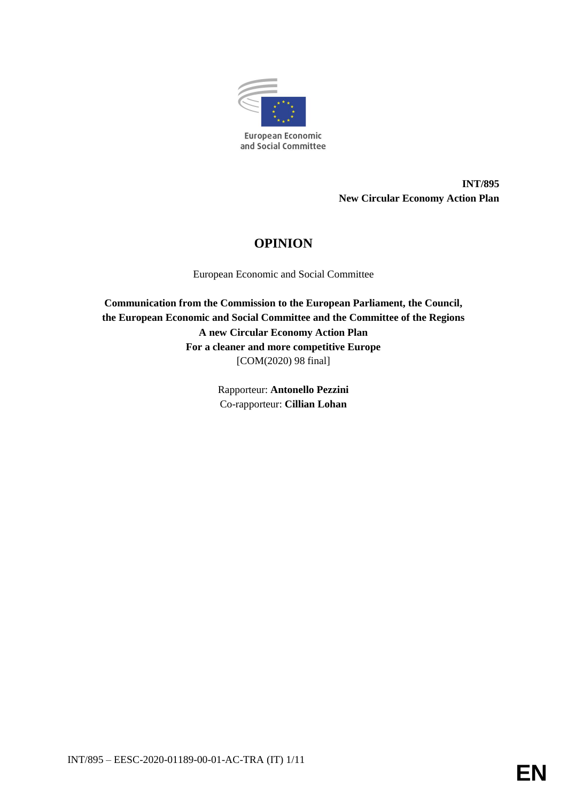

**INT/895 New Circular Economy Action Plan**

# **OPINION**

European Economic and Social Committee

**Communication from the Commission to the European Parliament, the Council, the European Economic and Social Committee and the Committee of the Regions A new Circular Economy Action Plan For a cleaner and more competitive Europe** [COM(2020) 98 final]

> Rapporteur: **Antonello Pezzini** Co-rapporteur: **Cillian Lohan**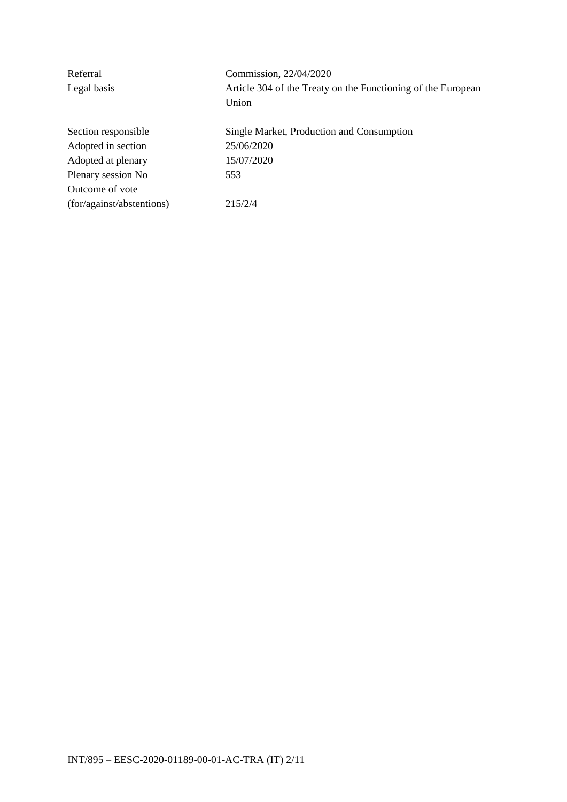| Commission, 22/04/2020                                       |  |
|--------------------------------------------------------------|--|
| Article 304 of the Treaty on the Functioning of the European |  |
| Union                                                        |  |
| Single Market, Production and Consumption                    |  |
| 25/06/2020                                                   |  |
| 15/07/2020                                                   |  |
| 553                                                          |  |
|                                                              |  |
| 215/2/4                                                      |  |
|                                                              |  |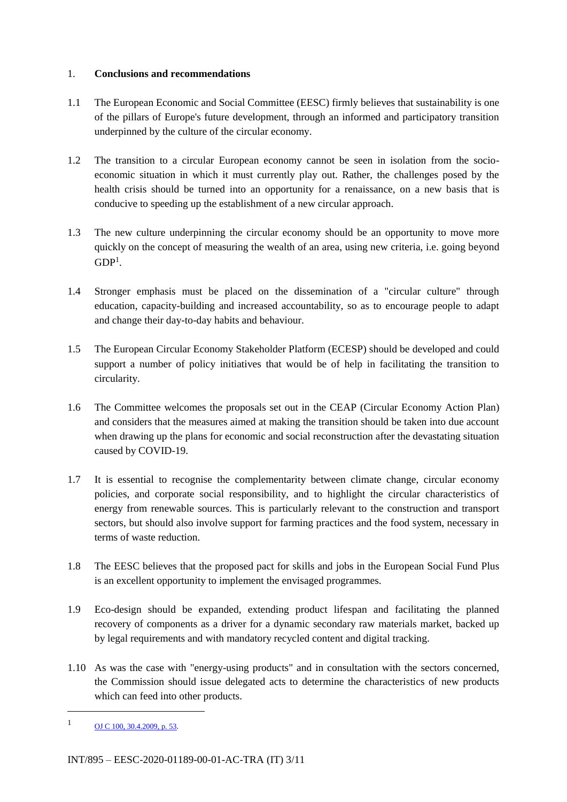## 1. **Conclusions and recommendations**

- 1.1 The European Economic and Social Committee (EESC) firmly believes that sustainability is one of the pillars of Europe's future development, through an informed and participatory transition underpinned by the culture of the circular economy.
- 1.2 The transition to a circular European economy cannot be seen in isolation from the socioeconomic situation in which it must currently play out. Rather, the challenges posed by the health crisis should be turned into an opportunity for a renaissance, on a new basis that is conducive to speeding up the establishment of a new circular approach.
- 1.3 The new culture underpinning the circular economy should be an opportunity to move more quickly on the concept of measuring the wealth of an area, using new criteria, i.e. going beyond  $GDP<sup>1</sup>$ .
- 1.4 Stronger emphasis must be placed on the dissemination of a "circular culture" through education, capacity-building and increased accountability, so as to encourage people to adapt and change their day-to-day habits and behaviour.
- 1.5 The European Circular Economy Stakeholder Platform (ECESP) should be developed and could support a number of policy initiatives that would be of help in facilitating the transition to circularity.
- 1.6 The Committee welcomes the proposals set out in the CEAP (Circular Economy Action Plan) and considers that the measures aimed at making the transition should be taken into due account when drawing up the plans for economic and social reconstruction after the devastating situation caused by COVID-19.
- 1.7 It is essential to recognise the complementarity between climate change, circular economy policies, and corporate social responsibility, and to highlight the circular characteristics of energy from renewable sources. This is particularly relevant to the construction and transport sectors, but should also involve support for farming practices and the food system, necessary in terms of waste reduction.
- 1.8 The EESC believes that the proposed pact for skills and jobs in the European Social Fund Plus is an excellent opportunity to implement the envisaged programmes.
- 1.9 Eco-design should be expanded, extending product lifespan and facilitating the planned recovery of components as a driver for a dynamic secondary raw materials market, backed up by legal requirements and with mandatory recycled content and digital tracking.
- 1.10 As was the case with "energy-using products" and in consultation with the sectors concerned, the Commission should issue delegated acts to determine the characteristics of new products which can feed into other products.

-

 $1 \qquad \qquad \text{OJ C } 100, 30.4.2009, \text{p. 53.}$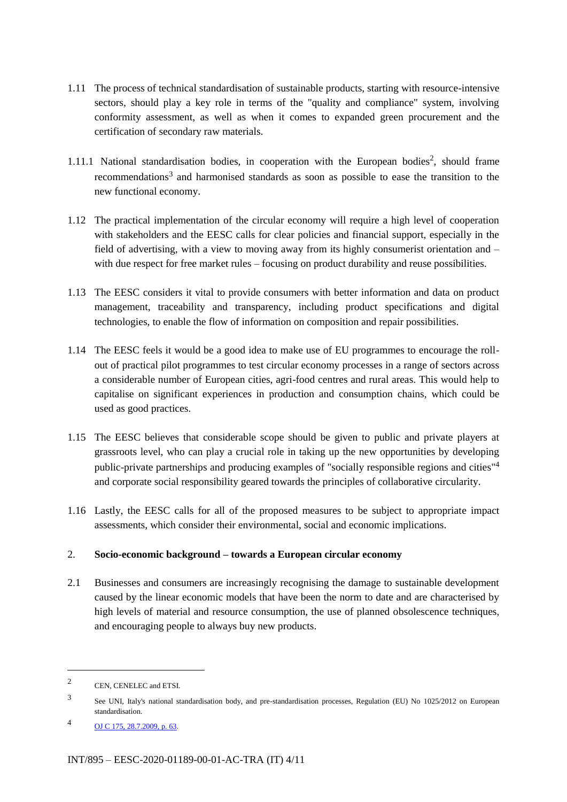- 1.11 The process of technical standardisation of sustainable products, starting with resource-intensive sectors, should play a key role in terms of the "quality and compliance" system, involving conformity assessment, as well as when it comes to expanded green procurement and the certification of secondary raw materials.
- 1.11.1 National standardisation bodies, in cooperation with the European bodies<sup>2</sup>, should frame recommendations<sup>3</sup> and harmonised standards as soon as possible to ease the transition to the new functional economy.
- 1.12 The practical implementation of the circular economy will require a high level of cooperation with stakeholders and the EESC calls for clear policies and financial support, especially in the field of advertising, with a view to moving away from its highly consumerist orientation and – with due respect for free market rules – focusing on product durability and reuse possibilities.
- 1.13 The EESC considers it vital to provide consumers with better information and data on product management, traceability and transparency, including product specifications and digital technologies, to enable the flow of information on composition and repair possibilities.
- 1.14 The EESC feels it would be a good idea to make use of EU programmes to encourage the rollout of practical pilot programmes to test circular economy processes in a range of sectors across a considerable number of European cities, agri-food centres and rural areas. This would help to capitalise on significant experiences in production and consumption chains, which could be used as good practices.
- 1.15 The EESC believes that considerable scope should be given to public and private players at grassroots level, who can play a crucial role in taking up the new opportunities by developing public-private partnerships and producing examples of "socially responsible regions and cities"<sup>4</sup> and corporate social responsibility geared towards the principles of collaborative circularity.
- 1.16 Lastly, the EESC calls for all of the proposed measures to be subject to appropriate impact assessments, which consider their environmental, social and economic implications.

## 2. **Socio-economic background – towards a European circular economy**

2.1 Businesses and consumers are increasingly recognising the damage to sustainable development caused by the linear economic models that have been the norm to date and are characterised by high levels of material and resource consumption, the use of planned obsolescence techniques, and encouraging people to always buy new products.

-

<sup>2</sup> CEN, CENELEC and ETSI.

<sup>3</sup> See UNI, Italy's national standardisation body, and pre-standardisation processes, Regulation (EU) No 1025/2012 on European standardisation.

<sup>4</sup> OJ C 175, 28.7.2009, p. 63.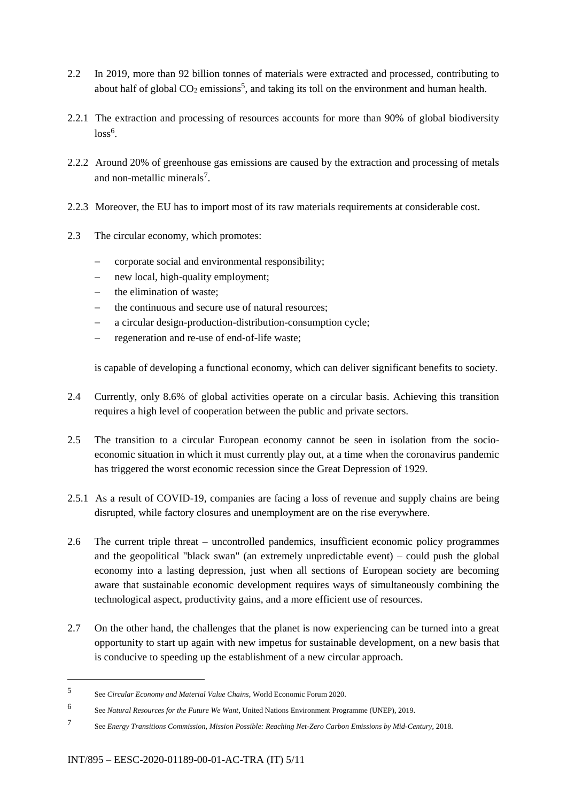- 2.2 In 2019, more than 92 billion tonnes of materials were extracted and processed, contributing to about half of global  $CO_2$  emissions<sup>5</sup>, and taking its toll on the environment and human health.
- 2.2.1 The extraction and processing of resources accounts for more than 90% of global biodiversity  $loss<sup>6</sup>$ .
- 2.2.2 Around 20% of greenhouse gas emissions are caused by the extraction and processing of metals and non-metallic minerals<sup>7</sup>.
- 2.2.3 Moreover, the EU has to import most of its raw materials requirements at considerable cost.
- 2.3 The circular economy, which promotes:
	- corporate social and environmental responsibility;
	- new local, high-quality employment;
	- the elimination of waste;
	- the continuous and secure use of natural resources;
	- a circular design-production-distribution-consumption cycle;
	- regeneration and re-use of end-of-life waste;

is capable of developing a functional economy, which can deliver significant benefits to society.

- 2.4 Currently, only 8.6% of global activities operate on a circular basis. Achieving this transition requires a high level of cooperation between the public and private sectors.
- 2.5 The transition to a circular European economy cannot be seen in isolation from the socioeconomic situation in which it must currently play out, at a time when the coronavirus pandemic has triggered the worst economic recession since the Great Depression of 1929.
- 2.5.1 As a result of COVID-19, companies are facing a loss of revenue and supply chains are being disrupted, while factory closures and unemployment are on the rise everywhere.
- 2.6 The current triple threat uncontrolled pandemics, insufficient economic policy programmes and the geopolitical "black swan" (an extremely unpredictable event) – could push the global economy into a lasting depression, just when all sections of European society are becoming aware that sustainable economic development requires ways of simultaneously combining the technological aspect, productivity gains, and a more efficient use of resources.
- 2.7 On the other hand, the challenges that the planet is now experiencing can be turned into a great opportunity to start up again with new impetus for sustainable development, on a new basis that is conducive to speeding up the establishment of a new circular approach.

<sup>5</sup> See *Circular Economy and Material Value Chains*, World Economic Forum 2020.

<sup>6</sup> See *Natural Resources for the Future We Want*, United Nations Environment Programme (UNEP), 2019.

<sup>7</sup> See *Energy Transitions Commission, Mission Possible: Reaching Net-Zero Carbon Emissions by Mid-Century,* 2018.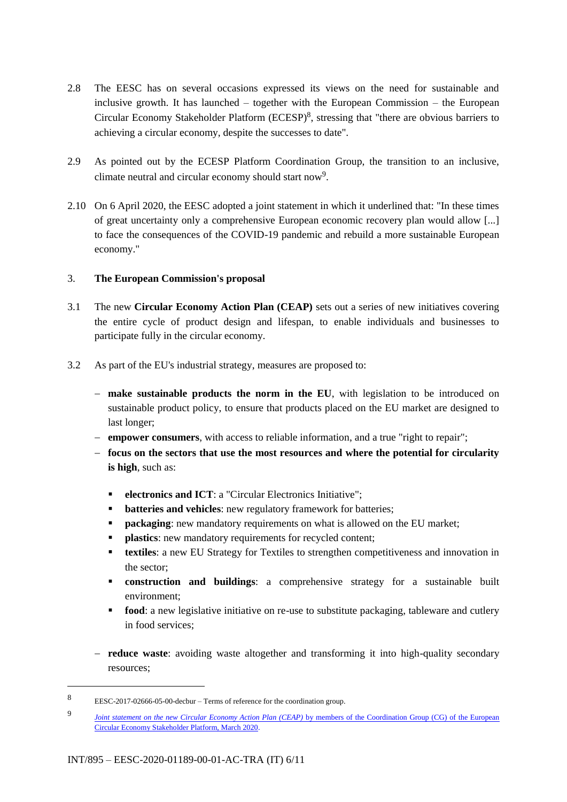- 2.8 The EESC has on several occasions expressed its views on the need for sustainable and inclusive growth. It has launched – together with the European Commission – the European Circular Economy Stakeholder Platform (ECESP)<sup>8</sup>, stressing that "there are obvious barriers to achieving a circular economy, despite the successes to date".
- 2.9 As pointed out by the ECESP Platform Coordination Group, the transition to an inclusive, climate neutral and circular economy should start now<sup>9</sup>.
- 2.10 On 6 April 2020, the EESC adopted a joint statement in which it underlined that: "In these times of great uncertainty only a comprehensive European economic recovery plan would allow [...] to face the consequences of the COVID-19 pandemic and rebuild a more sustainable European economy."

## 3. **The European Commission's proposal**

- 3.1 The new **Circular Economy Action Plan (CEAP)** sets out a series of new initiatives covering the entire cycle of product design and lifespan, to enable individuals and businesses to participate fully in the circular economy.
- 3.2 As part of the EU's industrial strategy, measures are proposed to:
	- **make sustainable products the norm in the EU**, with legislation to be introduced on sustainable product policy, to ensure that products placed on the EU market are designed to last longer;
	- **empower consumers**, with access to reliable information, and a true "right to repair";
	- **focus on the sectors that use the most resources and where the potential for circularity is high**, such as:
		- **electronics and ICT**: a "Circular Electronics Initiative";
		- **batteries and vehicles**: new regulatory framework for batteries;
		- **packaging**: new mandatory requirements on what is allowed on the EU market;
		- **plastics**: new mandatory requirements for recycled content;
		- **textiles**: a new EU Strategy for Textiles to strengthen competitiveness and innovation in the sector;
		- **construction and buildings**: a comprehensive strategy for a sustainable built environment;
		- **food:** a new legislative initiative on re-use to substitute packaging, tableware and cutlery in food services;
	- **reduce waste**: avoiding waste altogether and transforming it into high-quality secondary resources;

<sup>8</sup> EESC-2017-02666-05-00-decbur – Terms of reference for the coordination group.

<sup>9</sup> *Joint statement on the new Circular Economy Action Plan (CEAP)* by members of the Coordination Group (CG) of the European Circular Economy Stakeholder Platform, March 2020.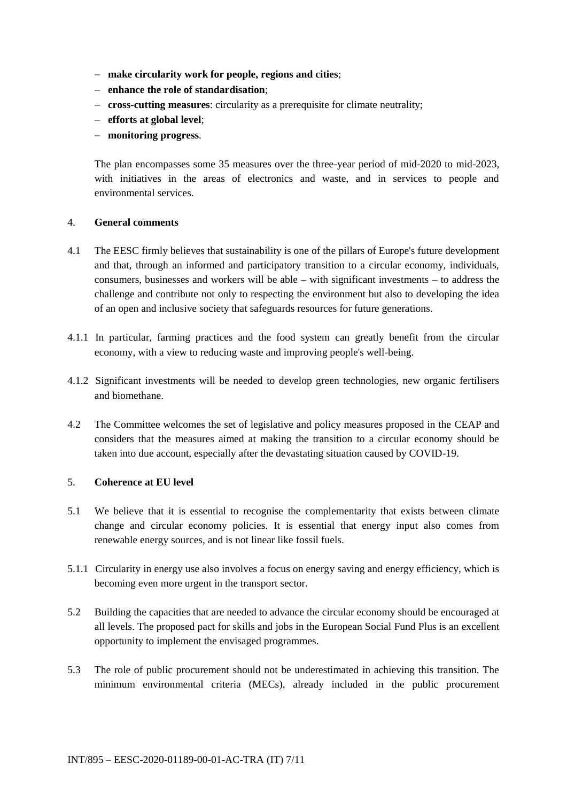- **make circularity work for people, regions and cities**;
- **enhance the role of standardisation**;
- **cross-cutting measures**: circularity as a prerequisite for climate neutrality;
- **efforts at global level**;
- **monitoring progress**.

The plan encompasses some 35 measures over the three-year period of mid-2020 to mid-2023, with initiatives in the areas of electronics and waste, and in services to people and environmental services.

#### 4. **General comments**

- 4.1 The EESC firmly believes that sustainability is one of the pillars of Europe's future development and that, through an informed and participatory transition to a circular economy, individuals, consumers, businesses and workers will be able – with significant investments – to address the challenge and contribute not only to respecting the environment but also to developing the idea of an open and inclusive society that safeguards resources for future generations.
- 4.1.1 In particular, farming practices and the food system can greatly benefit from the circular economy, with a view to reducing waste and improving people's well-being.
- 4.1.2 Significant investments will be needed to develop green technologies, new organic fertilisers and biomethane.
- 4.2 The Committee welcomes the set of legislative and policy measures proposed in the CEAP and considers that the measures aimed at making the transition to a circular economy should be taken into due account, especially after the devastating situation caused by COVID-19.

### 5. **Coherence at EU level**

- 5.1 We believe that it is essential to recognise the complementarity that exists between climate change and circular economy policies. It is essential that energy input also comes from renewable energy sources, and is not linear like fossil fuels.
- 5.1.1 Circularity in energy use also involves a focus on energy saving and energy efficiency, which is becoming even more urgent in the transport sector.
- 5.2 Building the capacities that are needed to advance the circular economy should be encouraged at all levels. The proposed pact for skills and jobs in the European Social Fund Plus is an excellent opportunity to implement the envisaged programmes.
- 5.3 The role of public procurement should not be underestimated in achieving this transition. The minimum environmental criteria (MECs), already included in the public procurement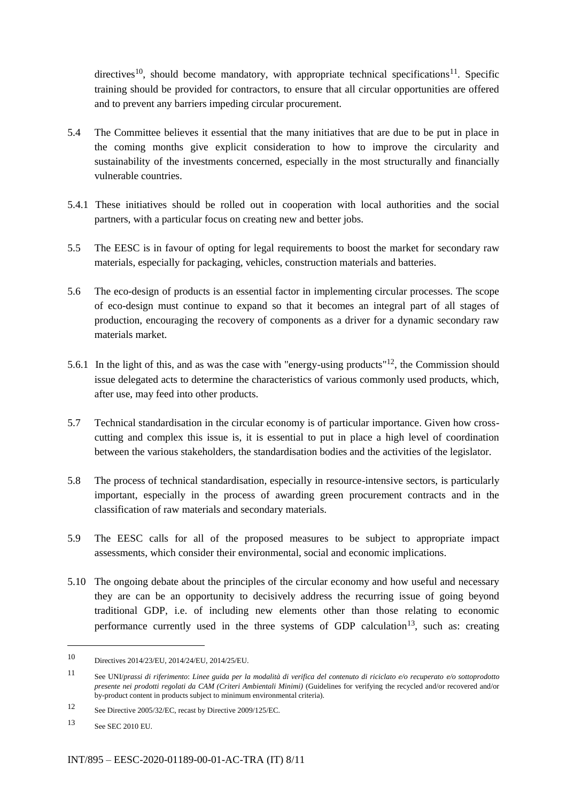directives<sup>10</sup>, should become mandatory, with appropriate technical specifications<sup>11</sup>. Specific training should be provided for contractors, to ensure that all circular opportunities are offered and to prevent any barriers impeding circular procurement.

- 5.4 The Committee believes it essential that the many initiatives that are due to be put in place in the coming months give explicit consideration to how to improve the circularity and sustainability of the investments concerned, especially in the most structurally and financially vulnerable countries.
- 5.4.1 These initiatives should be rolled out in cooperation with local authorities and the social partners, with a particular focus on creating new and better jobs.
- 5.5 The EESC is in favour of opting for legal requirements to boost the market for secondary raw materials, especially for packaging, vehicles, construction materials and batteries.
- 5.6 The eco-design of products is an essential factor in implementing circular processes. The scope of eco-design must continue to expand so that it becomes an integral part of all stages of production, encouraging the recovery of components as a driver for a dynamic secondary raw materials market.
- 5.6.1 In the light of this, and as was the case with "energy-using products"12, the Commission should issue delegated acts to determine the characteristics of various commonly used products, which, after use, may feed into other products.
- 5.7 Technical standardisation in the circular economy is of particular importance. Given how crosscutting and complex this issue is, it is essential to put in place a high level of coordination between the various stakeholders, the standardisation bodies and the activities of the legislator.
- 5.8 The process of technical standardisation, especially in resource-intensive sectors, is particularly important, especially in the process of awarding green procurement contracts and in the classification of raw materials and secondary materials.
- 5.9 The EESC calls for all of the proposed measures to be subject to appropriate impact assessments, which consider their environmental, social and economic implications.
- 5.10 The ongoing debate about the principles of the circular economy and how useful and necessary they are can be an opportunity to decisively address the recurring issue of going beyond traditional GDP, i.e. of including new elements other than those relating to economic performance currently used in the three systems of GDP calculation<sup>13</sup>, such as: creating

<sup>10</sup> Directives 2014/23/EU, 2014/24/EU, 2014/25/EU.

<sup>11</sup> See UNI/*prassi di riferimento*: *Linee guida per la modalità di verifica del contenuto di riciclato e/o recuperato e/o sottoprodotto presente nei prodotti regolati da CAM (Criteri Ambientali Minimi)* (Guidelines for verifying the recycled and/or recovered and/or by-product content in products subject to minimum environmental criteria).

<sup>12</sup> See Directive 2005/32/EC, recast by Directive 2009/125/EC.

<sup>13</sup> See SEC 2010 EU.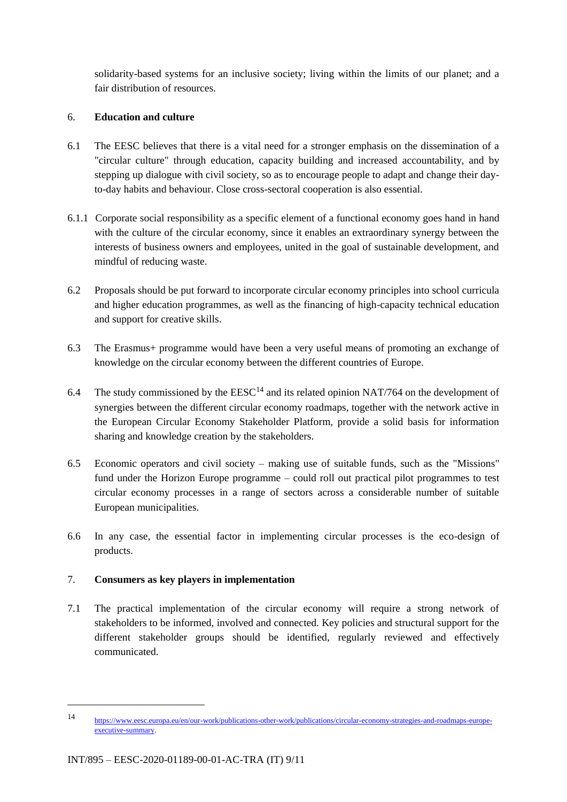solidarity-based systems for an inclusive society; living within the limits of our planet; and a fair distribution of resources.

## 6. **Education and culture**

- 6.1 The EESC believes that there is a vital need for a stronger emphasis on the dissemination of a "circular culture" through education, capacity building and increased accountability, and by stepping up dialogue with civil society, so as to encourage people to adapt and change their dayto-day habits and behaviour. Close cross-sectoral cooperation is also essential.
- 6.1.1 Corporate social responsibility as a specific element of a functional economy goes hand in hand with the culture of the circular economy, since it enables an extraordinary synergy between the interests of business owners and employees, united in the goal of sustainable development, and mindful of reducing waste.
- 6.2 Proposals should be put forward to incorporate circular economy principles into school curricula and higher education programmes, as well as the financing of high-capacity technical education and support for creative skills.
- 6.3 The Erasmus+ programme would have been a very useful means of promoting an exchange of knowledge on the circular economy between the different countries of Europe.
- 6.4 The study commissioned by the  $EESC<sup>14</sup>$  and its related opinion NAT/764 on the development of synergies between the different circular economy roadmaps, together with the network active in the European Circular Economy Stakeholder Platform, provide a solid basis for information sharing and knowledge creation by the stakeholders.
- 6.5 Economic operators and civil society making use of suitable funds, such as the "Missions" fund under the Horizon Europe programme – could roll out practical pilot programmes to test circular economy processes in a range of sectors across a considerable number of suitable European municipalities.
- 6.6 In any case, the essential factor in implementing circular processes is the eco-design of products.

## 7. **Consumers as key players in implementation**

7.1 The practical implementation of the circular economy will require a strong network of stakeholders to be informed, involved and connected. Key policies and structural support for the different stakeholder groups should be identified, regularly reviewed and effectively communicated.

<sup>14</sup> https://www.eesc.europa.eu/en/our-work/publications-other-work/publications/circular-economy-strategies-and-roadmaps-europeexecutive-summary.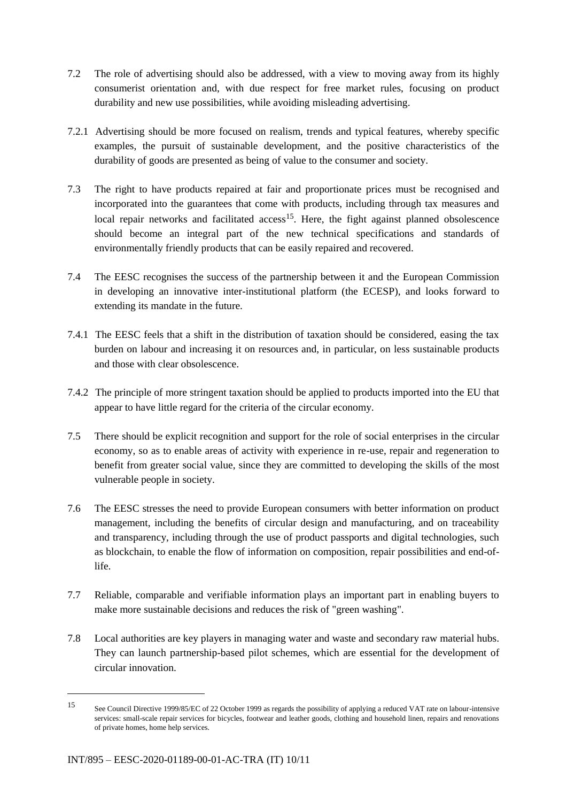- 7.2 The role of advertising should also be addressed, with a view to moving away from its highly consumerist orientation and, with due respect for free market rules, focusing on product durability and new use possibilities, while avoiding misleading advertising.
- 7.2.1 Advertising should be more focused on realism, trends and typical features, whereby specific examples, the pursuit of sustainable development, and the positive characteristics of the durability of goods are presented as being of value to the consumer and society.
- 7.3 The right to have products repaired at fair and proportionate prices must be recognised and incorporated into the guarantees that come with products, including through tax measures and local repair networks and facilitated  $access^{15}$ . Here, the fight against planned obsolescence should become an integral part of the new technical specifications and standards of environmentally friendly products that can be easily repaired and recovered.
- 7.4 The EESC recognises the success of the partnership between it and the European Commission in developing an innovative inter-institutional platform (the ECESP), and looks forward to extending its mandate in the future.
- 7.4.1 The EESC feels that a shift in the distribution of taxation should be considered, easing the tax burden on labour and increasing it on resources and, in particular, on less sustainable products and those with clear obsolescence.
- 7.4.2 The principle of more stringent taxation should be applied to products imported into the EU that appear to have little regard for the criteria of the circular economy.
- 7.5 There should be explicit recognition and support for the role of social enterprises in the circular economy, so as to enable areas of activity with experience in re-use, repair and regeneration to benefit from greater social value, since they are committed to developing the skills of the most vulnerable people in society.
- 7.6 The EESC stresses the need to provide European consumers with better information on product management, including the benefits of circular design and manufacturing, and on traceability and transparency, including through the use of product passports and digital technologies, such as blockchain, to enable the flow of information on composition, repair possibilities and end-oflife.
- 7.7 Reliable, comparable and verifiable information plays an important part in enabling buyers to make more sustainable decisions and reduces the risk of "green washing".
- 7.8 Local authorities are key players in managing water and waste and secondary raw material hubs. They can launch partnership-based pilot schemes, which are essential for the development of circular innovation.

-

<sup>15</sup> See Council Directive 1999/85/EC of 22 October 1999 as regards the possibility of applying a reduced VAT rate on labour-intensive services: small-scale repair services for bicycles, footwear and leather goods, clothing and household linen, repairs and renovations of private homes, home help services.